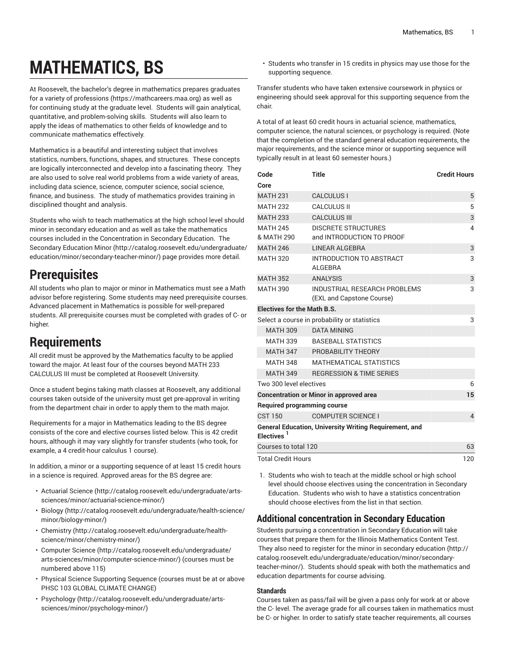# **MATHEMATICS, BS**

At Roosevelt, the bachelor's degree in mathematics prepares graduates for a variety of [professions](https://mathcareers.maa.org) (<https://mathcareers.maa.org>) as well as for continuing study at the graduate level. Students will gain analytical, quantitative, and problem-solving skills. Students will also learn to apply the ideas of mathematics to other fields of knowledge and to communicate mathematics effectively.

Mathematics is a beautiful and interesting subject that involves statistics, numbers, functions, shapes, and structures. These concepts are logically interconnected and develop into a fascinating theory. They are also used to solve real world problems from a wide variety of areas, including data science, science, computer science, social science, finance, and business. The study of mathematics provides training in disciplined thought and analysis.

Students who wish to teach mathematics at the high school level should minor in secondary education and as well as take the mathematics courses included in the Concentration in Secondary Education. The [Secondary](http://catalog.roosevelt.edu/undergraduate/education/minor/secondary-teacher-minor/) Education Minor ([http://catalog.roosevelt.edu/undergraduate/](http://catalog.roosevelt.edu/undergraduate/education/minor/secondary-teacher-minor/) [education/minor/secondary-teacher-minor/](http://catalog.roosevelt.edu/undergraduate/education/minor/secondary-teacher-minor/)) page provides more detail.

# **Prerequisites**

All students who plan to major or minor in Mathematics must see a Math advisor before registering. Some students may need prerequisite courses. Advanced placement in Mathematics is possible for well-prepared students. All prerequisite courses must be completed with grades of C- or higher.

# **Requirements**

All credit must be approved by the Mathematics faculty to be applied toward the major. At least four of the courses beyond MATH 233 CALCULUS III must be completed at Roosevelt University.

Once a student begins taking math classes at Roosevelt, any additional courses taken outside of the university must get pre-approval in writing from the department chair in order to apply them to the math major.

Requirements for a major in Mathematics leading to the BS degree consists of the core and elective courses listed below. This is 42 credit hours, although it may vary slightly for transfer students (who took, for example, a 4 credit-hour calculus 1 course).

In addition, a minor or a supporting sequence of at least 15 credit hours in a science is required. Approved areas for the BS degree are:

- [Actuarial Science \(http://catalog.roosevelt.edu/undergraduate/arts](http://catalog.roosevelt.edu/undergraduate/arts-sciences/minor/actuarial-science-minor/)[sciences/minor/actuarial-science-minor/\)](http://catalog.roosevelt.edu/undergraduate/arts-sciences/minor/actuarial-science-minor/)
- [Biology \(http://catalog.roosevelt.edu/undergraduate/health-science/](http://catalog.roosevelt.edu/undergraduate/health-science/minor/biology-minor/) [minor/biology-minor/\)](http://catalog.roosevelt.edu/undergraduate/health-science/minor/biology-minor/)
- [Chemistry \(http://catalog.roosevelt.edu/undergraduate/health](http://catalog.roosevelt.edu/undergraduate/health-science/minor/chemistry-minor/)[science/minor/chemistry-minor/](http://catalog.roosevelt.edu/undergraduate/health-science/minor/chemistry-minor/))
- [Computer Science \(http://catalog.roosevelt.edu/undergraduate/](http://catalog.roosevelt.edu/undergraduate/arts-sciences/minor/computer-science-minor/) [arts-sciences/minor/computer-science-minor/](http://catalog.roosevelt.edu/undergraduate/arts-sciences/minor/computer-science-minor/)) (courses must be numbered above 115)
- Physical Science Supporting Sequence (courses must be at or above PHSC 103 GLOBAL CLIMATE CHANGE)
- [Psychology \(http://catalog.roosevelt.edu/undergraduate/arts](http://catalog.roosevelt.edu/undergraduate/arts-sciences/minor/psychology-minor/)[sciences/minor/psychology-minor/\)](http://catalog.roosevelt.edu/undergraduate/arts-sciences/minor/psychology-minor/)

• Students who transfer in 15 credits in physics may use those for the supporting sequence.

Transfer students who have taken extensive coursework in physics or engineering should seek approval for this supporting sequence from the chair.

A total of at least 60 credit hours in actuarial science, mathematics, computer science, the natural sciences, or psychology is required. (Note that the completion of the standard general education requirements, the major requirements, and the science minor or supporting sequence will typically result in at least 60 semester hours.)

| Code<br>Core                                                                     | <b>Title</b>                                              | <b>Credit Hours</b> |
|----------------------------------------------------------------------------------|-----------------------------------------------------------|---------------------|
| <b>MATH 231</b>                                                                  | <b>CALCULUS I</b>                                         | 5                   |
| <b>MATH 232</b>                                                                  | <b>CALCULUS II</b>                                        | 5                   |
| <b>MATH 233</b>                                                                  | <b>CALCULUS III</b>                                       | 3                   |
| <b>MATH 245</b><br>& MATH 290                                                    | 4                                                         |                     |
| <b>MATH 246</b>                                                                  | <b>LINEAR ALGEBRA</b>                                     | 3                   |
| <b>MATH 320</b>                                                                  | INTRODUCTION TO ABSTRACT<br><b>ALGEBRA</b>                | 3                   |
| <b>MATH 352</b>                                                                  | <b>ANALYSIS</b>                                           | 3                   |
| <b>MATH 390</b>                                                                  | INDUSTRIAL RESEARCH PROBLEMS<br>(EXL and Capstone Course) | 3                   |
| <b>Electives for the Math B.S.</b>                                               |                                                           |                     |
|                                                                                  | Select a course in probability or statistics              | 3                   |
| <b>MATH 309</b>                                                                  | <b>DATA MINING</b>                                        |                     |
| MATH 339                                                                         | <b>BASEBALL STATISTICS</b>                                |                     |
| <b>MATH 347</b>                                                                  | PROBABILITY THEORY                                        |                     |
| MATH 348                                                                         | <b>MATHEMATICAL STATISTICS</b>                            |                     |
| <b>MATH 349</b>                                                                  | <b>REGRESSION &amp; TIME SERIES</b>                       |                     |
| Two 300 level electives                                                          |                                                           | 6                   |
|                                                                                  | <b>Concentration or Minor in approved area</b>            | 15                  |
| <b>Required programming course</b>                                               |                                                           |                     |
| <b>CST 150</b>                                                                   | <b>COMPUTER SCIENCE I</b>                                 | $\overline{4}$      |
| General Education, University Writing Requirement, and<br>Electives <sup>1</sup> |                                                           |                     |
| Courses to total 120<br>63                                                       |                                                           |                     |
| <b>Total Credit Hours</b>                                                        |                                                           |                     |

1. Students who wish to teach at the middle school or high school level should choose electives using the concentration in Secondary Education. Students who wish to have a statistics concentration should choose electives from the list in that section.

## **Additional concentration in Secondary Education**

Students pursuing a concentration in Secondary Education will take courses that prepare them for the Illinois Mathematics Content Test. They also need to register for the minor in [secondary](http://catalog.roosevelt.edu/undergraduate/education/minor/secondary-teacher-minor/) education ([http://](http://catalog.roosevelt.edu/undergraduate/education/minor/secondary-teacher-minor/) [catalog.roosevelt.edu/undergraduate/education/minor/secondary](http://catalog.roosevelt.edu/undergraduate/education/minor/secondary-teacher-minor/)[teacher-minor/\)](http://catalog.roosevelt.edu/undergraduate/education/minor/secondary-teacher-minor/). Students should speak with both the mathematics and education departments for course advising.

## **Standards**

Courses taken as pass/fail will be given a pass only for work at or above the C- level. The average grade for all courses taken in mathematics must be C- or higher. In order to satisfy state teacher requirements, all courses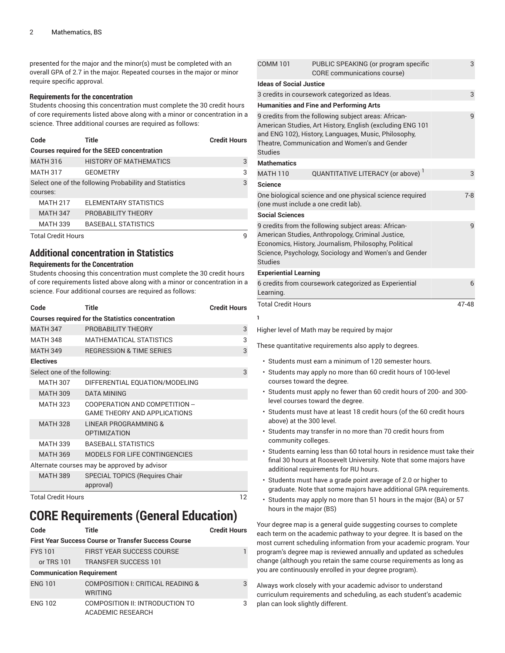presented for the major and the minor(s) must be completed with an overall GPA of 2.7 in the major. Repeated courses in the major or minor require specific approval.

### **Requirements for the concentration**

Students choosing this concentration must complete the 30 credit hours of core requirements listed above along with a minor or concentration in a science. Three additional courses are required as follows:

| Code                                                   | <b>Title</b>                  | <b>Credit Hours</b> |  |  |
|--------------------------------------------------------|-------------------------------|---------------------|--|--|
| <b>Courses required for the SEED concentration</b>     |                               |                     |  |  |
| <b>MATH 316</b>                                        | <b>HISTORY OF MATHEMATICS</b> | 3                   |  |  |
| <b>MATH 317</b>                                        | <b>GEOMETRY</b>               | 3                   |  |  |
| Select one of the following Probability and Statistics | 3                             |                     |  |  |
| courses:                                               |                               |                     |  |  |
| <b>MATH 217</b>                                        | ELEMENTARY STATISTICS         |                     |  |  |
| <b>MATH 347</b>                                        | PROBABILITY THEORY            |                     |  |  |
| <b>MATH 339</b>                                        | <b>BASEBALL STATISTICS</b>    |                     |  |  |
| Total Cradit Houre                                     | a                             |                     |  |  |

Total Credit Hours 9

# **Additional concentration in Statistics**

## **Requirements for the Concentration**

Students choosing this concentration must complete the 30 credit hours of core requirements listed above along with a minor or concentration in a science. Four additional courses are required as follows:

| Code                         | Title                                                                 | <b>Credit Hours</b> |
|------------------------------|-----------------------------------------------------------------------|---------------------|
|                              | <b>Courses required for the Statistics concentration</b>              |                     |
| <b>MATH 347</b>              | PROBABILITY THEORY                                                    | 3                   |
| <b>MATH 348</b>              | <b>MATHEMATICAL STATISTICS</b>                                        | 3                   |
| <b>MATH 349</b>              | <b>REGRESSION &amp; TIME SERIES</b>                                   | 3                   |
| <b>Electives</b>             |                                                                       |                     |
| Select one of the following: |                                                                       | 3                   |
| <b>MATH 307</b>              | DIFFERENTIAL EQUATION/MODELING                                        |                     |
| <b>MATH 309</b>              | <b>DATA MINING</b>                                                    |                     |
| <b>MATH 323</b>              | COOPERATION AND COMPETITION --<br><b>GAME THEORY AND APPLICATIONS</b> |                     |
| <b>MATH 328</b>              | LINEAR PROGRAMMING &<br><b>OPTIMIZATION</b>                           |                     |
| <b>MATH 339</b>              | <b>BASEBALL STATISTICS</b>                                            |                     |
| <b>MATH 369</b>              | <b>MODELS FOR LIFE CONTINGENCIES</b>                                  |                     |
|                              | Alternate courses may be approved by advisor                          |                     |
| <b>MATH 389</b>              | SPECIAL TOPICS (Requires Chair<br>approval)                           |                     |

Total Credit Hours 12

# **CORE Requirements (General Education)**

| Code                                                        | Title                                                          | <b>Credit Hours</b> |  |  |
|-------------------------------------------------------------|----------------------------------------------------------------|---------------------|--|--|
| <b>First Year Success Course or Transfer Success Course</b> |                                                                |                     |  |  |
| <b>FYS 101</b>                                              | <b>FIRST YEAR SUCCESS COURSE</b>                               |                     |  |  |
|                                                             | or TRS 101 TRANSFER SUCCESS 101                                |                     |  |  |
| <b>Communication Requirement</b>                            |                                                                |                     |  |  |
| <b>ENG 101</b>                                              | <b>COMPOSITION I: CRITICAL READING &amp;</b><br><b>WRITING</b> | 3                   |  |  |
| <b>ENG 102</b>                                              | COMPOSITION II: INTRODUCTION TO<br>ACADEMIC RESEARCH           | 3                   |  |  |

| <b>COMM 101</b>                                | PUBLIC SPEAKING (or program specific<br>CORE communications course)                                                                                                                                                         | 3       |  |
|------------------------------------------------|-----------------------------------------------------------------------------------------------------------------------------------------------------------------------------------------------------------------------------|---------|--|
| <b>Ideas of Social Justice</b>                 |                                                                                                                                                                                                                             |         |  |
|                                                | 3 credits in coursework categorized as Ideas.                                                                                                                                                                               | 3       |  |
| <b>Humanities and Fine and Performing Arts</b> |                                                                                                                                                                                                                             |         |  |
| <b>Studies</b>                                 | 9 credits from the following subject areas: African-<br>American Studies, Art History, English (excluding ENG 101<br>and ENG 102), History, Languages, Music, Philosophy,<br>Theatre, Communication and Women's and Gender  | 9       |  |
| <b>Mathematics</b>                             |                                                                                                                                                                                                                             |         |  |
| <b>MATH 110</b>                                | QUANTITATIVE LITERACY (or above) <sup>1</sup>                                                                                                                                                                               | 3       |  |
| <b>Science</b>                                 |                                                                                                                                                                                                                             |         |  |
|                                                | One biological science and one physical science required<br>(one must include a one credit lab).                                                                                                                            | $7 - 8$ |  |
| <b>Social Sciences</b>                         |                                                                                                                                                                                                                             |         |  |
| <b>Studies</b>                                 | 9 credits from the following subject areas: African-<br>American Studies, Anthropology, Criminal Justice,<br>Economics, History, Journalism, Philosophy, Political<br>Science, Psychology, Sociology and Women's and Gender | 9       |  |
| <b>Experiential Learning</b>                   |                                                                                                                                                                                                                             |         |  |
| Learning.                                      | 6 credits from coursework categorized as Experiential                                                                                                                                                                       | 6       |  |
| <b>Total Credit Hours</b>                      |                                                                                                                                                                                                                             | 47-48   |  |

Higher level of Math may be required by major

**1**

These quantitative requirements also apply to degrees.

- Students must earn a minimum of 120 semester hours.
- Students may apply no more than 60 credit hours of 100-level courses toward the degree.
- Students must apply no fewer than 60 credit hours of 200- and 300 level courses toward the degree.
- Students must have at least 18 credit hours (of the 60 credit hours above) at the 300 level.
- Students may transfer in no more than 70 credit hours from community colleges.
- Students earning less than 60 total hours in residence must take their final 30 hours at Roosevelt University. Note that some majors have additional requirements for RU hours.
- Students must have a grade point average of 2.0 or higher to graduate. Note that some majors have additional GPA requirements.
- Students may apply no more than 51 hours in the major (BA) or 57 hours in the major (BS)

Your degree map is a general guide suggesting courses to complete each term on the academic pathway to your degree. It is based on the most current scheduling information from your academic program. Your program's degree map is reviewed annually and updated as schedules change (although you retain the same course requirements as long as you are continuously enrolled in your degree program).

Always work closely with your academic advisor to understand curriculum requirements and scheduling, as each student's academic plan can look slightly different.